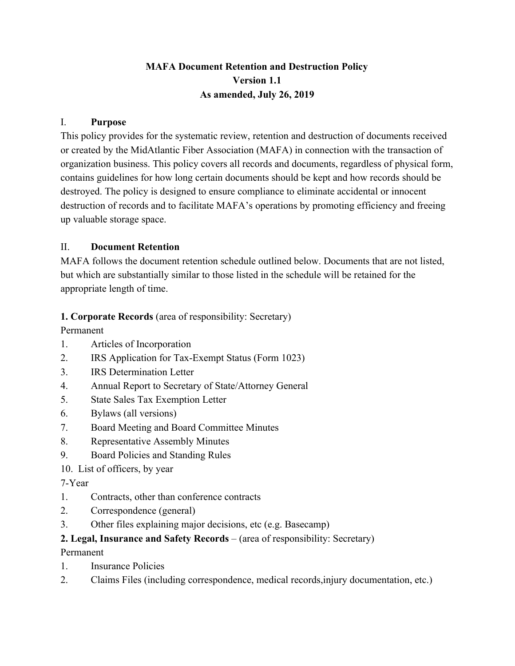## **MAFA Document Retention and Destruction Policy Version 1.1 As amended, July 26, 2019**

#### I. **Purpose**

This policy provides for the systematic review, retention and destruction of documents received or created by the MidAtlantic Fiber Association (MAFA) in connection with the transaction of organization business. This policy covers all records and documents, regardless of physical form, contains guidelines for how long certain documents should be kept and how records should be destroyed. The policy is designed to ensure compliance to eliminate accidental or innocent destruction of records and to facilitate MAFA's operations by promoting efficiency and freeing up valuable storage space.

#### II. **Document Retention**

MAFA follows the document retention schedule outlined below. Documents that are not listed, but which are substantially similar to those listed in the schedule will be retained for the appropriate length of time.

#### **1. Corporate Records** (area of responsibility: Secretary)

Permanent

- 1. Articles of Incorporation
- 2. IRS Application for Tax-Exempt Status (Form 1023)
- 3. IRS Determination Letter
- 4. Annual Report to Secretary of State/Attorney General
- 5. State Sales Tax Exemption Letter
- 6. Bylaws (all versions)
- 7. Board Meeting and Board Committee Minutes
- 8. Representative Assembly Minutes
- 9. Board Policies and Standing Rules
- 10. List of officers, by year

## 7-Year

- 1. Contracts, other than conference contracts
- 2. Correspondence (general)
- 3. Other files explaining major decisions, etc (e.g. Basecamp)

## **2. Legal, Insurance and Safety Records** – (area of responsibility: Secretary)

Permanent

- 1. Insurance Policies
- 2. Claims Files (including correspondence, medical records,injury documentation, etc.)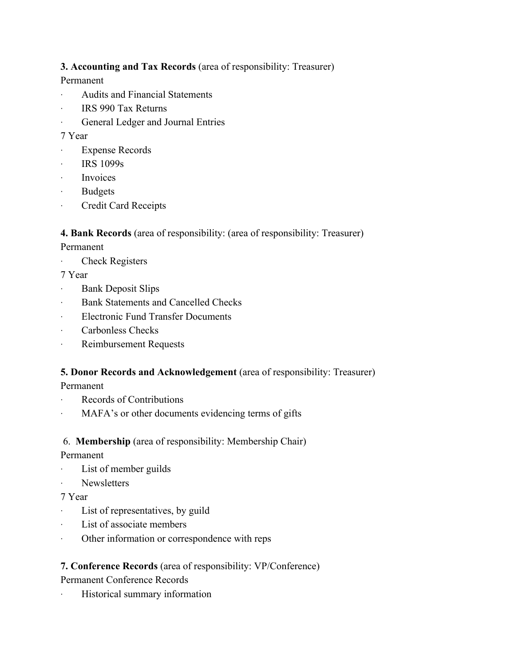## **3. Accounting and Tax Records** (area of responsibility: Treasurer)

## Permanent

- · Audits and Financial Statements
- · IRS 990 Tax Returns
- · General Ledger and Journal Entries

## 7 Year

- **Expense Records**
- · IRS 1099s
- · Invoices
- **Budgets**
- · Credit Card Receipts

## **4. Bank Records** (area of responsibility: (area of responsibility: Treasurer)

## Permanent

Check Registers

## 7 Year

- · Bank Deposit Slips
- Bank Statements and Cancelled Checks
- · Electronic Fund Transfer Documents
- · Carbonless Checks
- · Reimbursement Requests

## **5. Donor Records and Acknowledgement** (area of responsibility: Treasurer)

Permanent

- · Records of Contributions
- MAFA's or other documents evidencing terms of gifts

## 6. **Membership** (area of responsibility: Membership Chair)

## Permanent

- · List of member guilds
- Newsletters

## 7 Year

- · List of representatives, by guild
- · List of associate members
- · Other information or correspondence with reps

## **7. Conference Records** (area of responsibility: VP/Conference)

Permanent Conference Records

· Historical summary information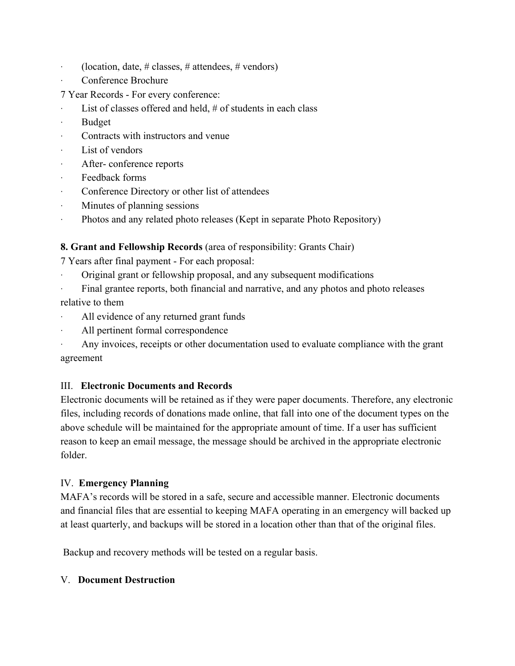- $(location, date, # classes, # attendees, # vendors)$
- Conference Brochure
- 7 Year Records For every conference:
- List of classes offered and held,  $#$  of students in each class
- · Budget
- · Contracts with instructors and venue
- List of vendors
- After-conference reports
- Feedback forms
- Conference Directory or other list of attendees
- Minutes of planning sessions
- · Photos and any related photo releases (Kept in separate Photo Repository)

## **8. Grant and Fellowship Records** (area of responsibility: Grants Chair)

7 Years after final payment - For each proposal:

- · Original grant or fellowship proposal, and any subsequent modifications
- Final grantee reports, both financial and narrative, and any photos and photo releases relative to them
- All evidence of any returned grant funds
- All pertinent formal correspondence
- · Any invoices, receipts or other documentation used to evaluate compliance with the grant agreement

#### III. **Electronic Documents and Records**

Electronic documents will be retained as if they were paper documents. Therefore, any electronic files, including records of donations made online, that fall into one of the document types on the above schedule will be maintained for the appropriate amount of time. If a user has sufficient reason to keep an email message, the message should be archived in the appropriate electronic folder.

#### IV. **Emergency Planning**

MAFA's records will be stored in a safe, secure and accessible manner. Electronic documents and financial files that are essential to keeping MAFA operating in an emergency will backed up at least quarterly, and backups will be stored in a location other than that of the original files.

Backup and recovery methods will be tested on a regular basis.

#### V. **Document Destruction**